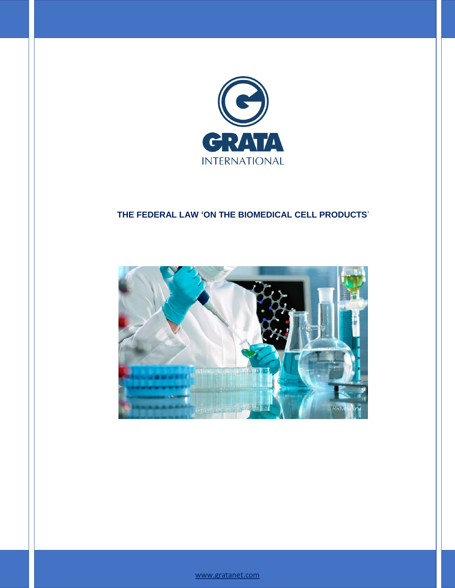

# **THE FEDERAL LAW 'ON THE BIOMEDICAL CELL PRODUCTS**'



<www.gratanet.com>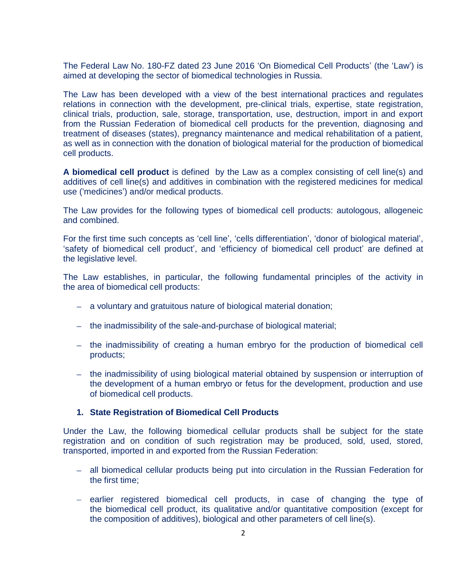The Federal Law No. 180-FZ dated 23 June 2016 'On Biomedical Cell Products' (the 'Law') is aimed at developing the sector of biomedical technologies in Russia.

The Law has been developed with a view of the best international practices and regulates relations in connection with the development, pre-clinical trials, expertise, state registration, clinical trials, production, sale, storage, transportation, use, destruction, import in and export from the Russian Federation of biomedical cell products for the prevention, diagnosing and treatment of diseases (states), pregnancy maintenance and medical rehabilitation of a patient, as well as in connection with the donation of biological material for the production of biomedical cell products.

**A biomedical cell product** is defined by the Law as a complex consisting of cell line(s) and additives of cell line(s) and additives in combination with the registered medicines for medical use ('medicines') and/or medical products.

The Law provides for the following types of biomedical cell products: autologous, allogeneic and combined.

For the first time such concepts as 'cell line', 'cells differentiation', 'donor of biological material', 'safety of biomedical cell product', and 'efficiency of biomedical cell product' are defined at the legislative level.

The Law establishes, in particular, the following fundamental principles of the activity in the area of biomedical cell products:

- a voluntary and gratuitous nature of biological material donation;
- the inadmissibility of the sale-and-purchase of biological material;
- the inadmissibility of creating a human embryo for the production of biomedical cell products;
- the inadmissibility of using biological material obtained by suspension or interruption of the development of a human embryo or fetus for the development, production and use of biomedical cell products.

#### **1. State Registration of Biomedical Cell Products**

Under the Law, the following biomedical cellular products shall be subject for the state registration and on condition of such registration may be produced, sold, used, stored, transported, imported in and exported from the Russian Federation:

- all biomedical cellular products being put into circulation in the Russian Federation for  $\equiv$ the first time;
- earlier registered biomedical cell products, in case of changing the type of the biomedical cell product, its qualitative and/or quantitative composition (except for the composition of additives), biological and other parameters of cell line(s).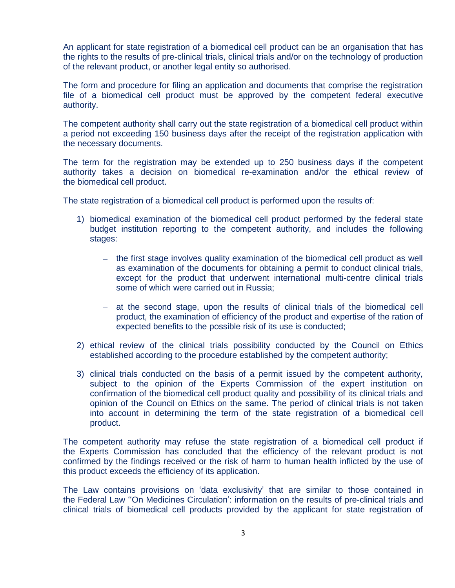An applicant for state registration of a biomedical cell product can be an organisation that has the rights to the results of pre-clinical trials, clinical trials and/or on the technology of production of the relevant product, or another legal entity so authorised.

The form and procedure for filing an application and documents that comprise the registration file of a biomedical cell product must be approved by the competent federal executive authority.

The competent authority shall carry out the state registration of a biomedical cell product within a period not exceeding 150 business days after the receipt of the registration application with the necessary documents.

The term for the registration may be extended up to 250 business days if the competent authority takes a decision on biomedical re-examination and/or the ethical review of the biomedical cell product.

The state registration of a biomedical cell product is performed upon the results of:

- 1) biomedical examination of the biomedical cell product performed by the federal state budget institution reporting to the competent authority, and includes the following stages:
	- the first stage involves quality examination of the biomedical cell product as well as examination of the documents for obtaining a permit to conduct clinical trials, except for the product that underwent international multi-centre clinical trials some of which were carried out in Russia;
	- at the second stage, upon the results of clinical trials of the biomedical cell product, the examination of efficiency of the product and expertise of the ration of expected benefits to the possible risk of its use is conducted;
- 2) ethical review of the clinical trials possibility conducted by the Council on Ethics established according to the procedure established by the competent authority;
- 3) clinical trials conducted on the basis of a permit issued by the competent authority, subject to the opinion of the Experts Commission of the expert institution on confirmation of the biomedical cell product quality and possibility of its clinical trials and opinion of the Council on Ethics on the same. The period of clinical trials is not taken into account in determining the term of the state registration of a biomedical cell product.

The competent authority may refuse the state registration of a biomedical cell product if the Experts Commission has concluded that the efficiency of the relevant product is not confirmed by the findings received or the risk of harm to human health inflicted by the use of this product exceeds the efficiency of its application.

The Law contains provisions on 'data exclusivity' that are similar to those contained in the Federal Law ''On Medicines Circulation': information on the results of pre-clinical trials and clinical trials of biomedical cell products provided by the applicant for state registration of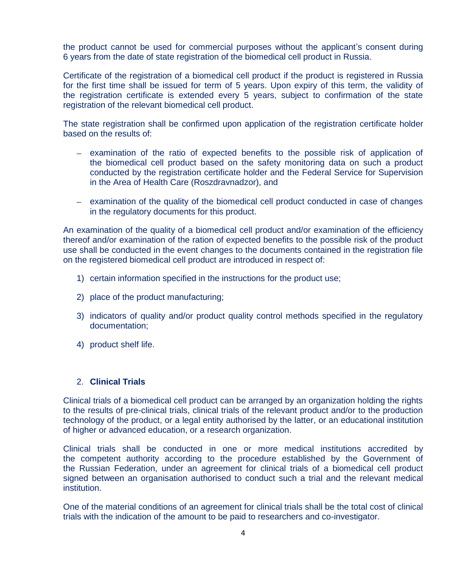the product cannot be used for commercial purposes without the applicant's consent during 6 years from the date of state registration of the biomedical cell product in Russia.

Certificate of the registration of a biomedical cell product if the product is registered in Russia for the first time shall be issued for term of 5 years. Upon expiry of this term, the validity of the registration certificate is extended every 5 years, subject to confirmation of the state registration of the relevant biomedical cell product.

The state registration shall be confirmed upon application of the registration certificate holder based on the results of:

- examination of the ratio of expected benefits to the possible risk of application of the biomedical cell product based on the safety monitoring data on such a product conducted by the registration certificate holder and the Federal Service for Supervision in the Area of Health Care (Roszdravnadzor), and
- examination of the quality of the biomedical cell product conducted in case of changes in the regulatory documents for this product.

An examination of the quality of a biomedical cell product and/or examination of the efficiency thereof and/or examination of the ration of expected benefits to the possible risk of the product use shall be conducted in the event changes to the documents contained in the registration file on the registered biomedical cell product are introduced in respect of:

- 1) certain information specified in the instructions for the product use;
- 2) place of the product manufacturing;
- 3) indicators of quality and/or product quality control methods specified in the regulatory documentation;
- 4) product shelf life.

### 2. **Clinical Trials**

Clinical trials of a biomedical cell product can be arranged by an organization holding the rights to the results of pre-clinical trials, clinical trials of the relevant product and/or to the production technology of the product, or a legal entity authorised by the latter, or an educational institution of higher or advanced education, or a research organization.

Clinical trials shall be conducted in one or more medical institutions accredited by the competent authority according to the procedure established by the Government of the Russian Federation, under an agreement for clinical trials of a biomedical cell product signed between an organisation authorised to conduct such a trial and the relevant medical institution.

One of the material conditions of an agreement for clinical trials shall be the total cost of clinical trials with the indication of the amount to be paid to researchers and co-investigator.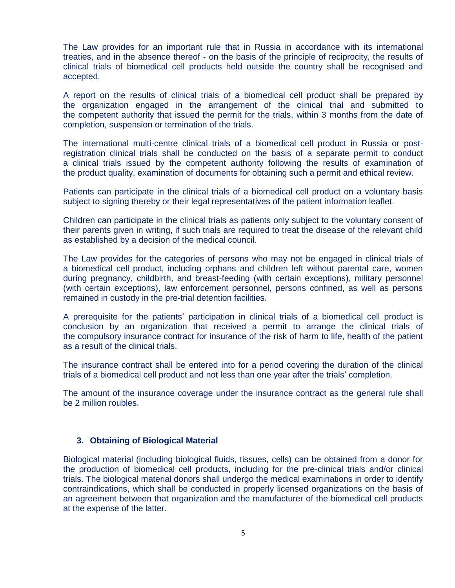The Law provides for an important rule that in Russia in accordance with its international treaties, and in the absence thereof - on the basis of the principle of reciprocity, the results of clinical trials of biomedical cell products held outside the country shall be recognised and accepted.

A report on the results of clinical trials of a biomedical cell product shall be prepared by the organization engaged in the arrangement of the clinical trial and submitted to the competent authority that issued the permit for the trials, within 3 months from the date of completion, suspension or termination of the trials.

The international multi-centre clinical trials of a biomedical cell product in Russia or postregistration clinical trials shall be conducted on the basis of a separate permit to conduct a clinical trials issued by the competent authority following the results of examination of the product quality, examination of documents for obtaining such a permit and ethical review.

Patients can participate in the clinical trials of a biomedical cell product on a voluntary basis subject to signing thereby or their legal representatives of the patient information leaflet.

Children can participate in the clinical trials as patients only subject to the voluntary consent of their parents given in writing, if such trials are required to treat the disease of the relevant child as established by a decision of the medical council.

The Law provides for the categories of persons who may not be engaged in clinical trials of a biomedical cell product, including orphans and children left without parental care, women during pregnancy, childbirth, and breast-feeding (with certain exceptions), military personnel (with certain exceptions), law enforcement personnel, persons confined, as well as persons remained in custody in the pre-trial detention facilities.

A prerequisite for the patients' participation in clinical trials of a biomedical cell product is conclusion by an organization that received a permit to arrange the clinical trials of the compulsory insurance contract for insurance of the risk of harm to life, health of the patient as a result of the clinical trials.

The insurance contract shall be entered into for a period covering the duration of the clinical trials of a biomedical cell product and not less than one year after the trials' completion.

The amount of the insurance coverage under the insurance contract as the general rule shall be 2 million roubles.

#### **3. Obtaining of Biological Material**

Biological material (including biological fluids, tissues, cells) can be obtained from a donor for the production of biomedical cell products, including for the pre-clinical trials and/or clinical trials. The biological material donors shall undergo the medical examinations in order to identify contraindications, which shall be conducted in properly licensed organizations on the basis of an agreement between that organization and the manufacturer of the biomedical cell products at the expense of the latter.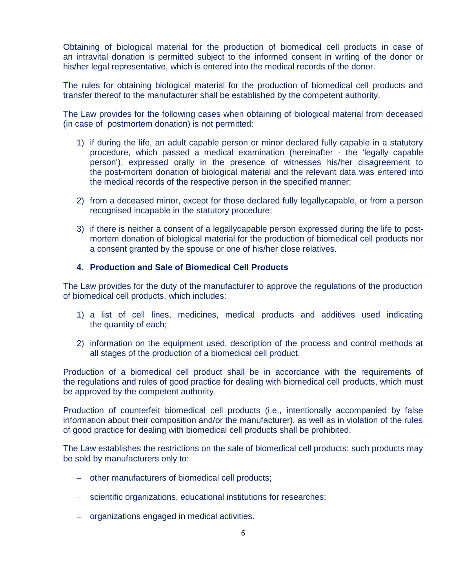Obtaining of biological material for the production of biomedical cell products in case of an intravital donation is permitted subject to the informed consent in writing of the donor or his/her legal representative, which is entered into the medical records of the donor.

The rules for obtaining biological material for the production of biomedical cell products and transfer thereof to the manufacturer shall be established by the competent authority.

The Law provides for the following cases when obtaining of biological material from deceased (in case of postmortem donation) is not permitted:

- 1) if during the life, an adult capable person or minor declared fully capable in a statutory procedure, which passed a medical examination (hereinafter - the 'legally capable person'), expressed orally in the presence of witnesses his/her disagreement to the post-mortem donation of biological material and the relevant data was entered into the medical records of the respective person in the specified manner;
- 2) from a deceased minor, except for those declared fully legallycapable, or from a person recognised incapable in the statutory procedure;
- 3) if there is neither a consent of a legallycapable person expressed during the life to postmortem donation of biological material for the production of biomedical cell products nor a consent granted by the spouse or one of his/her close relatives.

## **4. Production and Sale of Biomedical Cell Products**

The Law provides for the duty of the manufacturer to approve the regulations of the production of biomedical cell products, which includes:

- 1) a list of cell lines, medicines, medical products and additives used indicating the quantity of each;
- 2) information on the equipment used, description of the process and control methods at all stages of the production of a biomedical cell product.

Production of a biomedical cell product shall be in accordance with the requirements of the regulations and rules of good practice for dealing with biomedical cell products, which must be approved by the competent authority.

Production of counterfeit biomedical cell products (i.e., intentionally accompanied by false information about their composition and/or the manufacturer), as well as in violation of the rules of good practice for dealing with biomedical cell products shall be prohibited.

The Law establishes the restrictions on the sale of biomedical cell products: such products may be sold by manufacturers only to:

- other manufacturers of biomedical cell products;
- scientific organizations, educational institutions for researches;
- organizations engaged in medical activities.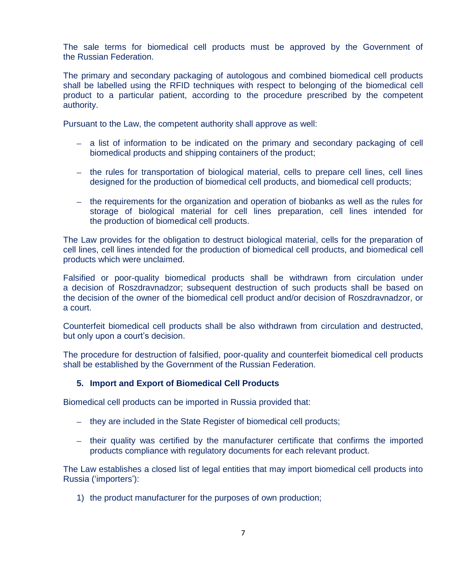The sale terms for biomedical cell products must be approved by the Government of the Russian Federation.

The primary and secondary packaging of autologous and combined biomedical cell products shall be labelled using the RFID techniques with respect to belonging of the biomedical cell product to a particular patient, according to the procedure prescribed by the competent authority.

Pursuant to the Law, the competent authority shall approve as well:

- a list of information to be indicated on the primary and secondary packaging of cell biomedical products and shipping containers of the product;
- the rules for transportation of biological material, cells to prepare cell lines, cell lines designed for the production of biomedical cell products, and biomedical cell products;
- $-$  the requirements for the organization and operation of biobanks as well as the rules for storage of biological material for cell lines preparation, cell lines intended for the production of biomedical cell products.

The Law provides for the obligation to destruct biological material, cells for the preparation of cell lines, cell lines intended for the production of biomedical cell products, and biomedical cell products which were unclaimed.

Falsified or poor-quality biomedical products shall be withdrawn from circulation under a decision of Roszdravnadzor; subsequent destruction of such products shall be based on the decision of the owner of the biomedical cell product and/or decision of Roszdravnadzor, or a court.

Counterfeit biomedical cell products shall be also withdrawn from circulation and destructed, but only upon a court's decision.

The procedure for destruction of falsified, poor-quality and counterfeit biomedical cell products shall be established by the Government of the Russian Federation.

## **5. Import and Export of Biomedical Cell Products**

Biomedical cell products can be imported in Russia provided that:

- they are included in the State Register of biomedical cell products;
- their quality was certified by the manufacturer certificate that confirms the imported products compliance with regulatory documents for each relevant product.

The Law establishes a closed list of legal entities that may import biomedical cell products into Russia ('importers'):

1) the product manufacturer for the purposes of own production;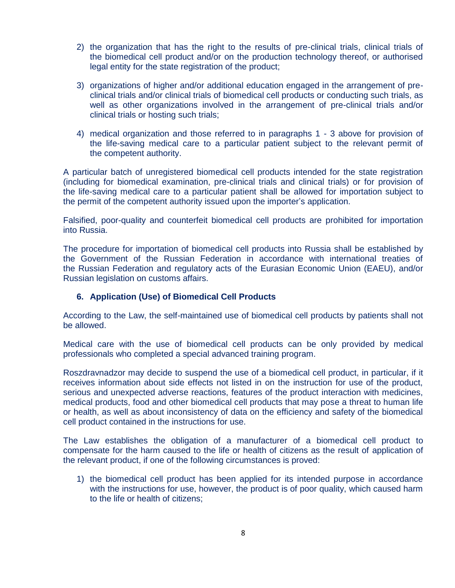- 2) the organization that has the right to the results of pre-clinical trials, clinical trials of the biomedical cell product and/or on the production technology thereof, or authorised legal entity for the state registration of the product;
- 3) organizations of higher and/or additional education engaged in the arrangement of preclinical trials and/or clinical trials of biomedical cell products or conducting such trials, as well as other organizations involved in the arrangement of pre-clinical trials and/or clinical trials or hosting such trials;
- 4) medical organization and those referred to in paragraphs 1 3 above for provision of the life-saving medical care to a particular patient subject to the relevant permit of the competent authority.

A particular batch of unregistered biomedical cell products intended for the state registration (including for biomedical examination, pre-clinical trials and clinical trials) or for provision of the life-saving medical care to a particular patient shall be allowed for importation subject to the permit of the competent authority issued upon the importer's application.

Falsified, poor-quality and counterfeit biomedical cell products are prohibited for importation into Russia.

The procedure for importation of biomedical cell products into Russia shall be established by the Government of the Russian Federation in accordance with international treaties of the Russian Federation and regulatory acts of the Eurasian Economic Union (EAEU), and/or Russian legislation on customs affairs.

## **6. Application (Use) of Biomedical Cell Products**

According to the Law, the self-maintained use of biomedical cell products by patients shall not be allowed.

Medical care with the use of biomedical cell products can be only provided by medical professionals who completed a special advanced training program.

Roszdravnadzor may decide to suspend the use of a biomedical cell product, in particular, if it receives information about side effects not listed in on the instruction for use of the product, serious and unexpected adverse reactions, features of the product interaction with medicines, medical products, food and other biomedical cell products that may pose a threat to human life or health, as well as about inconsistency of data on the efficiency and safety of the biomedical cell product contained in the instructions for use.

The Law establishes the obligation of a manufacturer of a biomedical cell product to compensate for the harm caused to the life or health of citizens as the result of application of the relevant product, if one of the following circumstances is proved:

1) the biomedical cell product has been applied for its intended purpose in accordance with the instructions for use, however, the product is of poor quality, which caused harm to the life or health of citizens;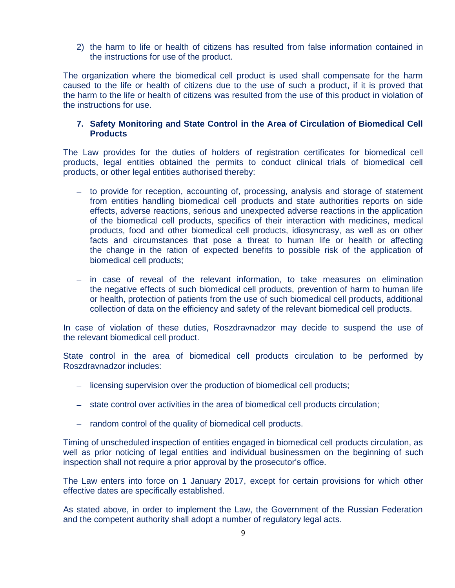2) the harm to life or health of citizens has resulted from false information contained in the instructions for use of the product.

The organization where the biomedical cell product is used shall compensate for the harm caused to the life or health of citizens due to the use of such a product, if it is proved that the harm to the life or health of citizens was resulted from the use of this product in violation of the instructions for use.

## **7. Safety Monitoring and State Control in the Area of Circulation of Biomedical Cell Products**

The Law provides for the duties of holders of registration certificates for biomedical cell products, legal entities obtained the permits to conduct clinical trials of biomedical cell products, or other legal entities authorised thereby:

- to provide for reception, accounting of, processing, analysis and storage of statement from entities handling biomedical cell products and state authorities reports on side effects, adverse reactions, serious and unexpected adverse reactions in the application of the biomedical cell products, specifics of their interaction with medicines, medical products, food and other biomedical cell products, idiosyncrasy, as well as on other facts and circumstances that pose a threat to human life or health or affecting the change in the ration of expected benefits to possible risk of the application of biomedical cell products;
- $-$  in case of reveal of the relevant information, to take measures on elimination the negative effects of such biomedical cell products, prevention of harm to human life or health, protection of patients from the use of such biomedical cell products, additional collection of data on the efficiency and safety of the relevant biomedical cell products.

In case of violation of these duties, Roszdravnadzor may decide to suspend the use of the relevant biomedical cell product.

State control in the area of biomedical cell products circulation to be performed by Roszdravnadzor includes:

- licensing supervision over the production of biomedical cell products;
- state control over activities in the area of biomedical cell products circulation;
- random control of the quality of biomedical cell products.

Timing of unscheduled inspection of entities engaged in biomedical cell products circulation, as well as prior noticing of legal entities and individual businessmen on the beginning of such inspection shall not require a prior approval by the prosecutor's office.

The Law enters into force on 1 January 2017, except for certain provisions for which other effective dates are specifically established.

As stated above, in order to implement the Law, the Government of the Russian Federation and the competent authority shall adopt a number of regulatory legal acts.